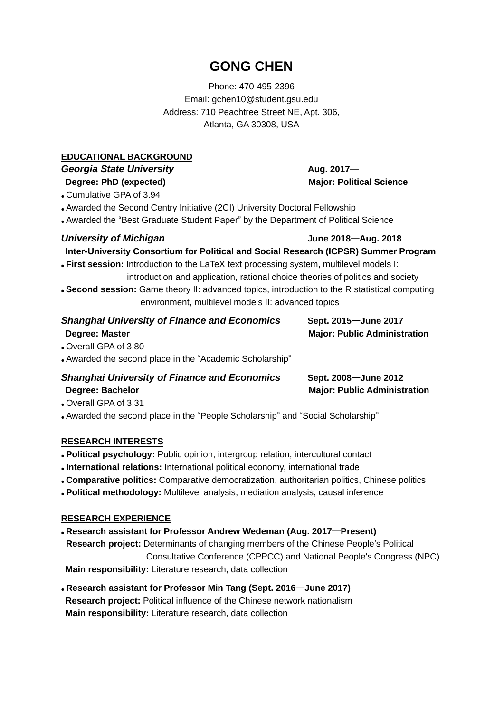## **GONG CHEN**

Phone: 470-495-2396 Email: gchen10@student.gsu.edu Address: 710 Peachtree Street NE, Apt. 306, Atlanta, GA 30308, USA

#### **EDUCATIONAL BACKGROUND**

# **Georgia State University Aug. 2017**—

● Cumulative GPA of 3.94

• Awarded the Second Centry Initiative (2CI) University Doctoral Fellowship

• Awarded the "Best Graduate Student Paper" by the Department of Political Science

#### *University of Michigan* **June 2018**—**Aug. 2018**

**Inter-University Consortium for Political and Social Research (ICPSR) Summer Program**

- **First session:** Introduction to the LaTeX text processing system, multilevel models I: introduction and application, rational choice theories of politics and society ● **Second session:** Game theory II: advanced topics, introduction to the R statistical computing
- environment, multilevel models II: advanced topics

### *Shanghai University of Finance and Economics* **Sept. 2015**—**June 2017 Degree: Master Mathematic Administration** Major: Public Administration

● Overall GPA of 3.80

• Awarded the second place in the "Academic Scholarship"

### *Shanghai University of Finance and Economics* **Sept. 2008**—**June 2012 Degree: Bachelor Major: Public Administration**

● Overall GPA of 3.31

● Awarded the second place in the "People Scholarship" and "Social Scholarship"

#### **RESEARCH INTERESTS**

- **Political psychology:** Public opinion, intergroup relation, intercultural contact
- **International relations:** International political economy, international trade
- **Comparative politics:** Comparative democratization, authoritarian politics, Chinese politics
- **Political methodology:** Multilevel analysis, mediation analysis, causal inference

#### **RESEARCH EXPERIENCE**

- **Research assistant for Professor Andrew Wedeman (Aug. 2017**—**Present) Research project:** Determinants of changing members of the Chinese People's Political Consultative Conference (CPPCC) and National People's Congress (NPC) **Main responsibility:** Literature research, data collection
- **Research assistant for Professor Min Tang (Sept. 2016**—**June 2017) Research project:** Political influence of the Chinese network nationalism **Main responsibility:** Literature research, data collection

**Degree: PhD** (expected) **Major: Political Science**